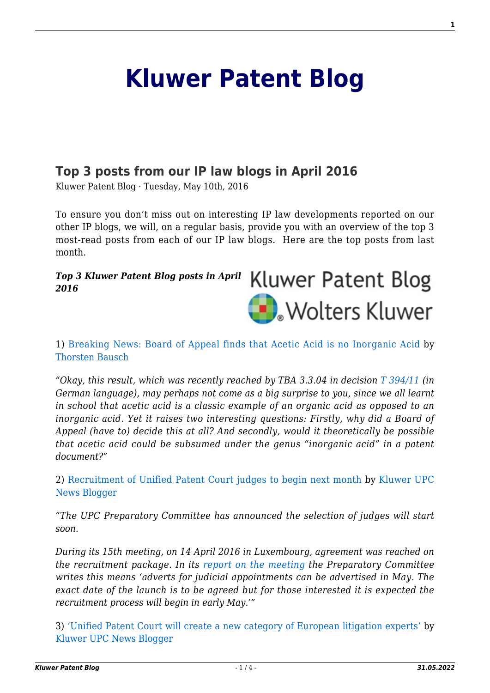# **[Kluwer Patent Blog](http://patentblog.kluweriplaw.com/)**

### **[Top 3 posts from our IP law blogs in April 2016](http://patentblog.kluweriplaw.com/2016/05/10/top-3-posts-from-our-ip-law-blogs-in-april-2016/)**

Kluwer Patent Blog · Tuesday, May 10th, 2016

To ensure you don't miss out on interesting IP law developments reported on our other IP blogs, we will, on a regular basis, provide you with an overview of the top 3 most-read posts from each of our IP law blogs. Here are the top posts from last month.

#### *Top 3 Kluwer Patent Blog posts in April 2016*



1) [Breaking News: Board of Appeal finds that Acetic Acid is no Inorganic Acid](http://kluwerpatentblog.com/2016/04/18/breaking-news-board-of-appeal-finds-that-acetic-acid-is-no-inorganic-acid/) by [Thorsten Bausch](http://kluwerpatentblog.com/author/thorstenbausch/)

*"Okay, this result, which was recently reached by TBA 3.3.04 in decision [T 394/11](http://www.epo.org/law-practice/case-law-appeals/pdf/t110394du1.pdf) (in German language), may perhaps not come as a big surprise to you, since we all learnt in school that acetic acid is a classic example of an organic acid as opposed to an inorganic acid. Yet it raises two interesting questions: Firstly, why did a Board of Appeal (have to) decide this at all? And secondly, would it theoretically be possible that acetic acid could be subsumed under the genus "inorganic acid" in a patent document?"*

2) [Recruitment of Unified Patent Court judges to begin next month](http://kluwerpatentblog.com/2016/04/15/recruitment-of-unified-patent-court-judges-to-begin-next-month/) by [Kluwer UPC](http://kluwerpatentblog.com/author/kluwerupcreporter/) [News Blogger](http://kluwerpatentblog.com/author/kluwerupcreporter/)

*"The UPC Preparatory Committee has announced the selection of judges will start soon.*

*During its 15th meeting, on 14 April 2016 in Luxembourg, agreement was reached on the recruitment package. In its [report on the meeting](https://www.unified-patent-court.org/news/report-15th-preparatory-committee-meeting) the Preparatory Committee writes this means 'adverts for judicial appointments can be advertised in May. The exact date of the launch is to be agreed but for those interested it is expected the recruitment process will begin in early May.'"*

3) ['Unified Patent Court will create a new category of European litigation experts'](http://kluwerpatentblog.com/2016/04/12/unified-patent-court-will-create-a-new-category-of-european-litigation-experts/) by [Kluwer UPC News Blogger](http://kluwerpatentblog.com/author/kluwerupcreporter/)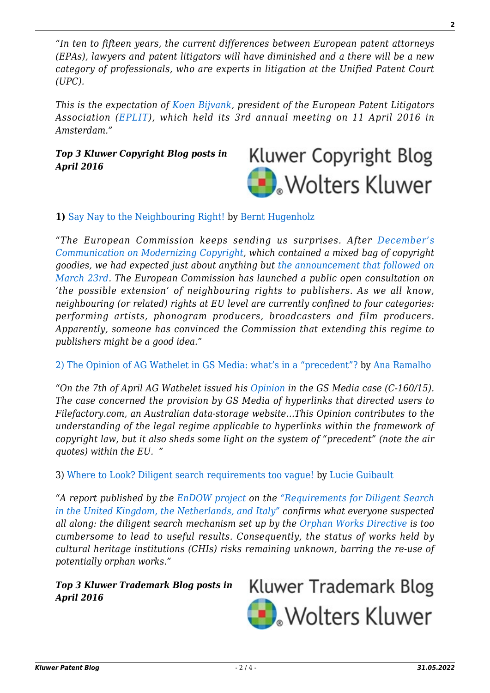*"In ten to fifteen years, the current differences between European patent attorneys (EPAs), lawyers and patent litigators will have diminished and a there will be a new category of professionals, who are experts in litigation at the Unified Patent Court (UPC).*

*This is the expectation of [Koen Bijvank](http://www.vo.eu/en/experts/expert/3/koen_bijvank), president of the European Patent Litigators Association ([EPLIT](http://www.eplit.eu/)), which held its 3rd annual meeting on 11 April 2016 in Amsterdam."*

#### *Top 3 Kluwer Copyright Blog posts in April 2016*

## Kluwer Copyright Blog **Wolters Kluwer**

**1)** [Say Nay to the Neighbouring Right!](http://kluwercopyrightblog.com/2016/04/14/say-nay-to-the-neighbouring-right/) by [Bernt Hugenholz](http://kluwercopyrightblog.com/author/bernthugenholtz/)

*"The European Commission keeps sending us surprises. After [December's](https://ec.europa.eu/digital-single-market/en/news/towards-modern-more-european-copyright-framework-commission-takes-first-steps-and-sets-out-its) [Communication on Modernizing Copyright,](https://ec.europa.eu/digital-single-market/en/news/towards-modern-more-european-copyright-framework-commission-takes-first-steps-and-sets-out-its) which contained a mixed bag of copyright goodies, we had expected just about anything but [the announcement that followed on](https://ec.europa.eu/digital-single-market/en/news/commission-seeks-views-neighbouring-rights-and-panorama-exception-eu-copyright) [March 23rd](https://ec.europa.eu/digital-single-market/en/news/commission-seeks-views-neighbouring-rights-and-panorama-exception-eu-copyright). The European Commission has launched a public open consultation on 'the possible extension' of neighbouring rights to publishers. As we all know, neighbouring (or related) rights at EU level are currently confined to four categories: performing artists, phonogram producers, broadcasters and film producers. Apparently, someone has convinced the Commission that extending this regime to publishers might be a good idea."*

[2\) The Opinion of AG Wathelet in GS Media: what's in a "precedent"?](http://kluwercopyrightblog.com/2016/04/26/opinion-ag-wathelet-gs-media-whats-precedent/) by [Ana Ramalho](http://kluwercopyrightblog.com/author/anaramalho/)

*"On the 7th of April AG Wathelet issued his [Opinion](http://curia.europa.eu/juris/document/document.jsf?text=&docid=175626&pageIndex=0&doclang=EN&mode=lst&dir=&occ=first&part=1&cid=769842) in the GS Media case (C-160/15). The case concerned the provision by GS Media of hyperlinks that directed users to Filefactory.com, an Australian data-storage website…This Opinion contributes to the understanding of the legal regime applicable to hyperlinks within the framework of copyright law, but it also sheds some light on the system of "precedent" (note the air quotes) within the EU. "*

3) [Where to Look? Diligent search requirements too vague!](http://kluwercopyrightblog.com/2016/04/25/look-diligent-search-requirements-vague/) by [Lucie Guibault](http://kluwercopyrightblog.com/author/lucie-guibault/)

*"A report published by the [EnDOW project](http://diligentsearch.eu/) on the ["Requirements for Diligent Search](http://diligentsearch.eu/wp-content/uploads/2016/02/Deliverable1-1-Diligent-Search3Countries.pdf) [in the United Kingdom, the Netherlands, and Italy"](http://diligentsearch.eu/wp-content/uploads/2016/02/Deliverable1-1-Diligent-Search3Countries.pdf) confirms what everyone suspected all along: the diligent search mechanism set up by the [Orphan Works Directive](http://eur-lex.europa.eu/LexUriServ/LexUriServ.do?uri=OJ:L:2012:299:0005:0012:EN:PDF) is too cumbersome to lead to useful results. Consequently, the status of works held by cultural heritage institutions (CHIs) risks remaining unknown, barring the re-use of potentially orphan works."*

#### *Top 3 Kluwer Trademark Blog posts in April 2016*

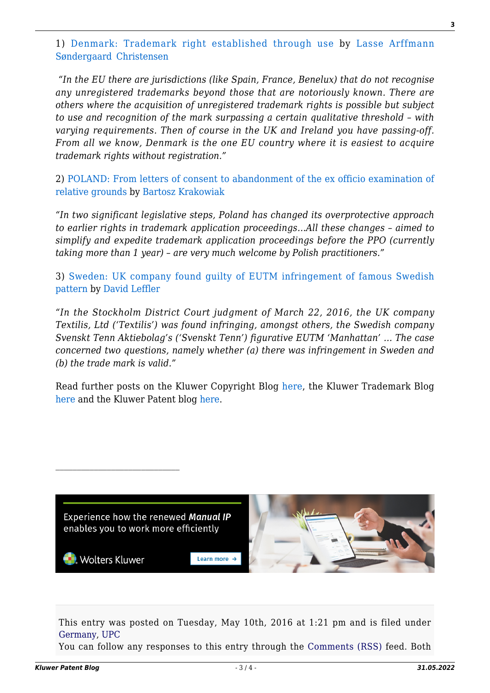1) [Denmark: Trademark right established through use](http://kluwertrademarkblog.com/2016/04/13/498/) by [Lasse Arffmann](http://kluwertrademarkblog.com/author/lasse-arffmann-sondergaard-christensen/) [Søndergaard Christensen](http://kluwertrademarkblog.com/author/lasse-arffmann-sondergaard-christensen/)

*"In the EU there are jurisdictions (like Spain, France, Benelux) that do not recognise any unregistered trademarks beyond those that are notoriously known. There are others where the acquisition of unregistered trademark rights is possible but subject to use and recognition of the mark surpassing a certain qualitative threshold – with varying requirements. Then of course in the UK and Ireland you have passing-off. From all we know, Denmark is the one EU country where it is easiest to acquire trademark rights without registration."*

2) [POLAND: From letters of consent to abandonment of the ex officio examination of](http://kluwertrademarkblog.com/2016/04/06/poland-from-letters-of-consent-to-abandonment-of-the-ex-officio-examination-of-relative-grounds/) [relative grounds](http://kluwertrademarkblog.com/2016/04/06/poland-from-letters-of-consent-to-abandonment-of-the-ex-officio-examination-of-relative-grounds/) by [Bartosz Krakowiak](http://kluwertrademarkblog.com/author/bartoszkrakowiak1/)

*"In two significant legislative steps, Poland has changed its overprotective approach to earlier rights in trademark application proceedings…All these changes – aimed to simplify and expedite trademark application proceedings before the PPO (currently taking more than 1 year) – are very much welcome by Polish practitioners."*

3) [Sweden: UK company found guilty of EUTM infringement of famous Swedish](http://kluwertrademarkblog.com/2016/04/14/sweden-uk-company-found-guilty-of-eutm-infringement-of-famous-swedish-pattern/) [pattern](http://kluwertrademarkblog.com/2016/04/14/sweden-uk-company-found-guilty-of-eutm-infringement-of-famous-swedish-pattern/) by [David Leffler](http://kluwertrademarkblog.com/author/david-leffler/)

*"In the Stockholm District Court judgment of March 22, 2016, the UK company Textilis, Ltd ('Textilis') was found infringing, amongst others, the Swedish company Svenskt Tenn Aktiebolag's ('Svenskt Tenn') figurative EUTM 'Manhattan' … The case concerned two questions, namely whether (a) there was infringement in Sweden and (b) the trade mark is valid."*

Read further posts on the Kluwer Copyright Blog [here,](http://kluwercopyrightblog.com/) the Kluwer Trademark Blog [here](http://kluwertrademarkblog.com/) and the Kluwer Patent blog [here.](http://kluwerpatentblog.com/)



This entry was posted on Tuesday, May 10th, 2016 at 1:21 pm and is filed under [Germany](http://patentblog.kluweriplaw.com/category/countries/germany/), [UPC](http://patentblog.kluweriplaw.com/category/upc/)

You can follow any responses to this entry through the [Comments \(RSS\)](http://patentblog.kluweriplaw.com/comments/feed/) feed. Both